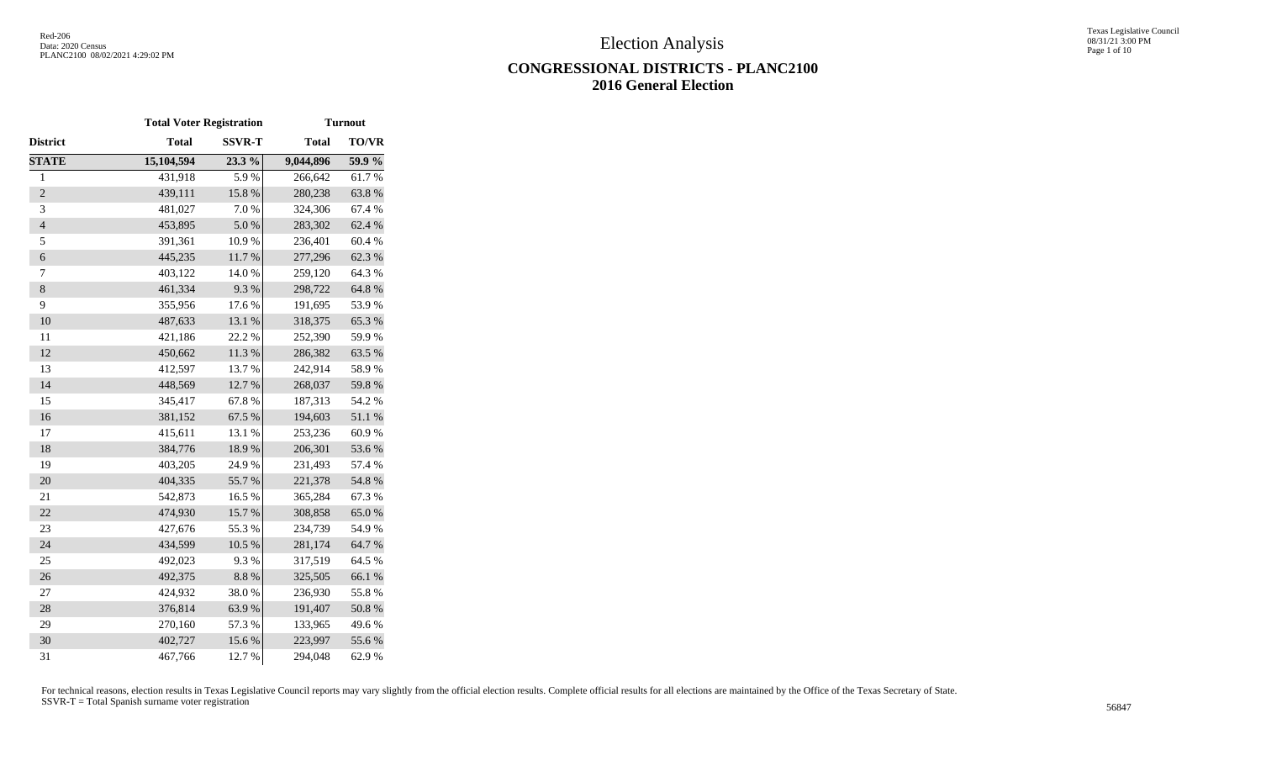Texas Legislative Council 08/31/21 3:00 PM Page 1 of 10

# **CONGRESSIONAL DISTRICTS - PLANC2100 2016 General Election**

|                          |              | <b>Total Voter Registration</b><br><b>Turnout</b> |              |              |  |  |
|--------------------------|--------------|---------------------------------------------------|--------------|--------------|--|--|
| District                 | <b>Total</b> | <b>SSVR-T</b>                                     | <b>Total</b> | <b>TO/VR</b> |  |  |
| <b>STATE</b>             | 15,104,594   | 23.3 %                                            | 9,044,896    | 59.9%        |  |  |
| $\mathbf{1}$             | 431,918      | 5.9%                                              | 266,642      | 61.7%        |  |  |
| $\overline{2}$           | 439,111      | 15.8 %                                            | 280,238      | 63.8%        |  |  |
| 3                        | 481,027      | 7.0%                                              | 324,306      | 67.4 %       |  |  |
| $\overline{\mathcal{L}}$ | 453,895      | 5.0%                                              | 283,302      | 62.4 %       |  |  |
| 5                        | 391,361      | 10.9%                                             | 236,401      | 60.4%        |  |  |
| $\boldsymbol{6}$         | 445,235      | $11.7\ \%$                                        | 277,296      | 62.3 %       |  |  |
| $\tau$                   | 403,122      | 14.0 %                                            | 259,120      | 64.3 %       |  |  |
| $\,8\,$                  | 461,334      | 9.3%                                              | 298,722      | 64.8%        |  |  |
| 9                        | 355,956      | 17.6 %                                            | 191,695      | 53.9%        |  |  |
| 10                       | 487,633      | 13.1 %                                            | 318,375      | 65.3%        |  |  |
| 11                       | 421,186      | 22.2 %                                            | 252,390      | 59.9%        |  |  |
| 12                       | 450,662      | 11.3%                                             | 286,382      | 63.5%        |  |  |
| 13                       | 412,597      | 13.7 %                                            | 242,914      | 58.9%        |  |  |
| 14                       | 448,569      | 12.7%                                             | 268,037      | 59.8%        |  |  |
| 15                       | 345,417      | 67.8%                                             | 187,313      | 54.2 %       |  |  |
| 16                       | 381,152      | 67.5 %                                            | 194,603      | 51.1 %       |  |  |
| 17                       | 415,611      | 13.1 %                                            | 253,236      | 60.9%        |  |  |
| 18                       | 384,776      | 18.9%                                             | 206,301      | 53.6%        |  |  |
| 19                       | 403,205      | 24.9%                                             | 231,493      | 57.4 %       |  |  |
| 20                       | 404,335      | 55.7%                                             | 221,378      | 54.8%        |  |  |
| 21                       | 542,873      | 16.5 %                                            | 365,284      | 67.3%        |  |  |
| 22                       | 474,930      | 15.7%                                             | 308,858      | 65.0%        |  |  |
| 23                       | 427,676      | 55.3%                                             | 234,739      | 54.9%        |  |  |
| 24                       | 434,599      | $10.5~\%$                                         | 281,174      | 64.7%        |  |  |
| 25                       | 492,023      | 9.3%                                              | 317,519      | 64.5 %       |  |  |
| 26                       | 492,375      | 8.8%                                              | 325,505      | 66.1%        |  |  |
| 27                       | 424,932      | 38.0%                                             | 236,930      | 55.8%        |  |  |
| 28                       | 376,814      | 63.9%                                             | 191,407      | 50.8 %       |  |  |
| 29                       | 270,160      | 57.3 %                                            | 133,965      | 49.6%        |  |  |
| 30                       | 402,727      | 15.6%                                             | 223,997      | 55.6%        |  |  |
| 31                       | 467,766      | 12.7 %                                            | 294,048      | 62.9%        |  |  |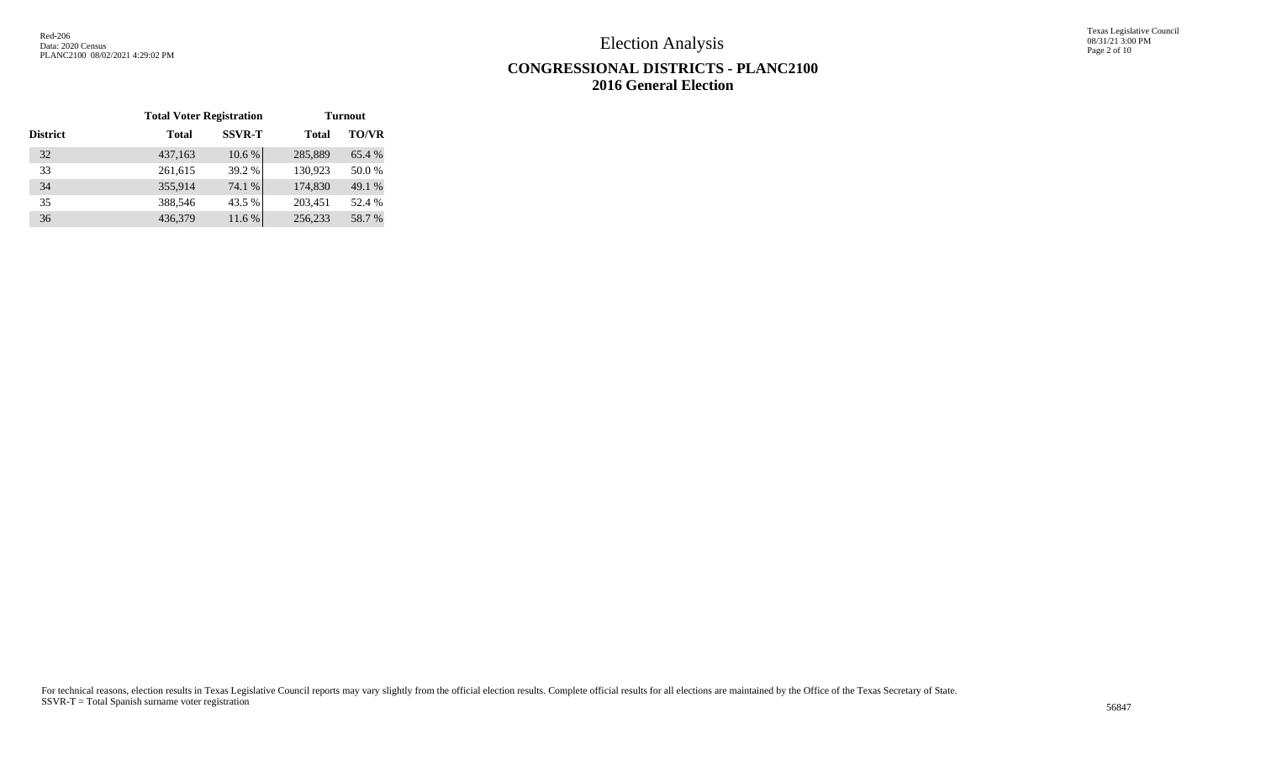Texas Legislative Council 08/31/21 3:00 PM Page 2 of 10

# **CONGRESSIONAL DISTRICTS - PLANC2100 2016 General Election**

|                 | <b>Total Voter Registration</b> |               | <b>Turnout</b> |              |  |  |  |
|-----------------|---------------------------------|---------------|----------------|--------------|--|--|--|
| <b>District</b> | Total                           | <b>SSVR-T</b> | <b>Total</b>   | <b>TO/VR</b> |  |  |  |
| 32              | 437,163                         | 10.6%         | 285,889        | 65.4 %       |  |  |  |
| 33              | 261,615                         | 39.2 %        | 130,923        | 50.0%        |  |  |  |
| 34              | 355,914                         | 74.1 %        | 174,830        | 49.1 %       |  |  |  |
| 35              | 388,546                         | 43.5 %        | 203,451        | 52.4 %       |  |  |  |
| 36              | 436,379                         | 11.6 %        | 256,233        | 58.7%        |  |  |  |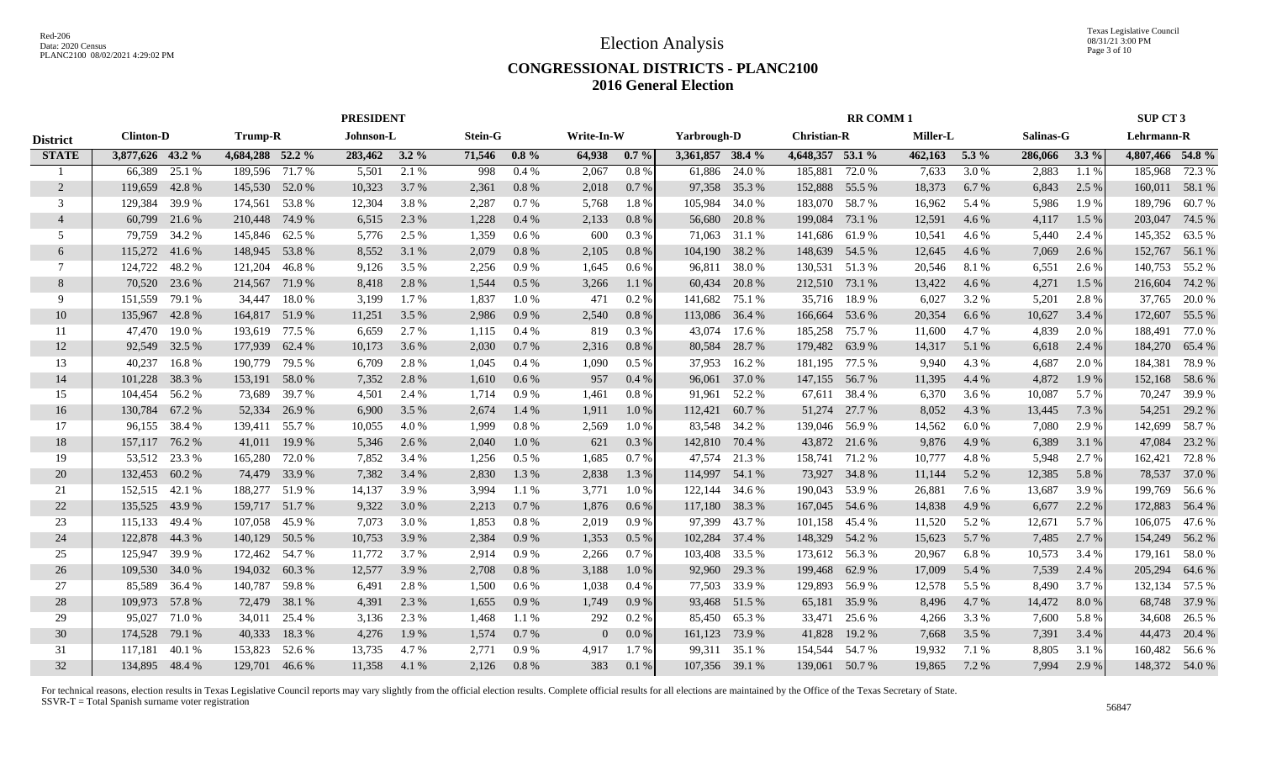Texas Legislative Council 08/31/21 3:00 PM Page 3 of 10

### **CONGRESSIONAL DISTRICTS - PLANC2100 2016 General Election**

|                 |                  |        |                  |        | <b>PRESIDENT</b> |       |                |         |                |          |                  |        |                    | <b>RR COMM1</b> |          |         |           |         | <b>SUP CT 3</b>  |                |
|-----------------|------------------|--------|------------------|--------|------------------|-------|----------------|---------|----------------|----------|------------------|--------|--------------------|-----------------|----------|---------|-----------|---------|------------------|----------------|
| <b>District</b> | <b>Clinton-D</b> |        | <b>Trump-R</b>   |        | Johnson-L        |       | <b>Stein-G</b> |         | Write-In-W     |          | Yarbrough-D      |        | <b>Christian-R</b> |                 | Miller-L |         | Salinas-G |         | Lehrmann-R       |                |
| <b>STATE</b>    | 3,877,626 43.2 % |        | 4,684,288 52.2 % |        | 283,462 3.2 %    |       | 71,546         | $0.8\%$ | 64,938         | $0.7\%$  | 3,361,857 38.4 % |        | 4,648,357 53.1 %   |                 | 462,163  | 5.3 $%$ | 286,066   | $3.3\%$ | 4,807,466 54.8 % |                |
|                 | 66,389           | 25.1 % | 189,596          | 71.7 % | 5,501            | 2.1 % | 998            | 0.4%    | 2,067          | 0.8%     | 61,886           | 24.0 % | 185,881            | 72.0 %          | 7,633    | 3.0 %   | 2,883     | 1.1%    | 185,968          | 72.3 %         |
| $\overline{2}$  | 119,659          | 42.8%  | 145,530          | 52.0 % | 10,323           | 3.7 % | 2,361          | 0.8%    | 2,018          | $0.7\%$  | 97,358           | 35.3 % | 152,888            | 55.5 %          | 18,373   | 6.7 %   | 6,843     | 2.5 %   |                  | 160,011 58.1 % |
| 3               | 129,384          | 39.9 % | 174,561          | 53.8%  | 12,304           | 3.8%  | 2,287          | 0.7%    | 5,768          | 1.8%     | 105,984          | 34.0 % | 183,070            | 58.7 %          | 16,962   | 5.4 %   | 5,986     | 1.9 %   | 189,796          | 60.7 %         |
| $\overline{4}$  | 60,799           | 21.6 % | 210,448          | 74.9 % | 6,515            | 2.3 % | 1,228          | 0.4%    | 2,133          | 0.8%     | 56,680           | 20.8%  | 199,084            | 73.1 %          | 12,591   | 4.6 %   | 4,117     | 1.5 %   | 203,047          | 74.5 %         |
| .5              | 79,759           | 34.2 % | 145,846          | 62.5 % | 5,776            | 2.5 % | 1,359          | 0.6%    | 600            | 0.3%     | 71,063           | 31.1 % | 141,686            | 61.9%           | 10,541   | 4.6 %   | 5,440     | 2.4 %   | 145,352          | 63.5 %         |
| 6               | 115,272          | 41.6 % | 148,945 53.8 %   |        | 8,552            | 3.1 % | 2,079          | 0.8 %   | 2,105          | $0.8~\%$ | 104,190          | 38.2 % | 148,639 54.5 %     |                 | 12,645   | 4.6 %   | 7,069     | 2.6 %   | 152,767          | 56.1 %         |
| 7               | 124,722          | 48.2 % | 121,204          | 46.8%  | 9,126            | 3.5 % | 2,256          | 0.9%    | 1,645          | $0.6\%$  | 96,811           | 38.0%  | 130,531            | 51.3 %          | 20,546   | 8.1 %   | 6,551     | 2.6 %   | 140,753          | 55.2 %         |
| 8               | 70,520           | 23.6 % | 214,567          | 71.9 % | 8,418            | 2.8 % | 1,544          | 0.5%    | 3,266          | 1.1%     | 60,434           | 20.8%  | 212,510 73.1 %     |                 | 13,422   | 4.6 %   | 4,271     | 1.5 %   | 216,604          | 74.2 %         |
| -9              | 151,559          | 79.1 % | 34,447           | 18.0%  | 3,199            | 1.7 % | 1,837          | 1.0%    | 471            | 0.2 %    | 141,682          | 75.1 % | 35,716             | 18.9%           | 6,027    | 3.2 %   | 5,201     | 2.8 %   | 37,765           | 20.0 %         |
| 10              | 135,967          | 42.8%  | 164,817          | 51.9%  | 11,251           | 3.5 % | 2,986          | 0.9%    | 2,540          | 0.8%     | 113,086          | 36.4 % | 166,664            | 53.6 %          | 20,354   | 6.6 %   | 10,627    | 3.4 %   | 172,607          | 55.5 %         |
| 11              | 47,470           | 19.0%  | 193,619          | 77.5 % | 6,659            | 2.7 % | 1,115          | 0.4%    | 819            | $0.3\%$  | 43,074           | 17.6 % | 185,258 75.7 %     |                 | 11,600   | 4.7%    | 4,839     | 2.0 %   | 188,491          | 77.0 %         |
| 12              | 92,549           | 32.5 % | 177,939          | 62.4 % | 10,173           | 3.6 % | 2,030          | 0.7%    | 2,316          | 0.8%     | 80,584           | 28.7%  | 179,482            | 63.9%           | 14,317   | 5.1 %   | 6,618     | 2.4 %   |                  | 184,270 65.4 % |
| 13              | 40,237           | 16.8%  | 190,779          | 79.5 % | 6,709            | 2.8%  | 1,045          | 0.4%    | 1,090          | $0.5\%$  | 37,953           | 16.2 % | 181,195 77.5 %     |                 | 9,940    | 4.3 %   | 4,687     | 2.0 %   | 184,381          | 78.9%          |
| 14              | 101,228          | 38.3 % | 153,191          | 58.0%  | 7,352            | 2.8%  | 1,610          | 0.6%    | 957            | 0.4%     | 96,061           | 37.0 % | 147,155 56.7 %     |                 | 11,395   | 4.4 %   | 4,872     | 1.9%    | 152,168          | 58.6%          |
| 15              | 104,454 56.2 %   |        | 73,689           | 39.7%  | 4,501            | 2.4 % | 1,714          | 0.9%    | 1,461          | 0.8%     | 91,961           | 52.2 % |                    | 67,611 38.4 %   | 6,370    | 3.6 %   | 10,087    | 5.7%    | 70,247           | 39.9%          |
| 16              | 130,784          | 67.2 % | 52,334           | 26.9 % | 6,900            | 3.5 % | 2,674          | 1.4 %   | 1,911          | 1.0%     | 112,421          | 60.7%  |                    | 51,274 27.7 %   | 8,052    | 4.3 %   | 13,445    | 7.3 %   | 54,251           | 29.2 %         |
| 17              | 96,155 38.4 %    |        | 139,411          | 55.7 % | 10,055           | 4.0 % | 1,999          | 0.8%    | 2,569          | 1.0 %    | 83,548           | 34.2 % | 139,046 56.9 %     |                 | 14,562   | 6.0 %   | 7,080     | 2.9 %   | 142,699          | 58.7 %         |
| 18              | 157,117          | 76.2 % | 41,011           | 19.9%  | 5,346            | 2.6 % | 2,040          | 1.0%    | 621            | 0.3%     | 142,810          | 70.4 % |                    | 43,872 21.6 %   | 9,876    | 4.9%    | 6,389     | 3.1 %   | 47,084           | 23.2 %         |
| 19              | 53,512           | 23.3 % | 165,280          | 72.0 % | 7,852            | 3.4 % | 1,256          | 0.5 %   | 1,685          | 0.7%     | 47,574           | 21.3 % | 158,741            | 71.2 %          | 10,777   | 4.8%    | 5,948     | 2.7 %   | 162,421          | 72.8%          |
| 20              | 132,453          | 60.2 % | 74,479           | 33.9%  | 7,382            | 3.4 % | 2,830          | 1.3 %   | 2,838          | 1.3%     | 114,997          | 54.1 % | 73,927             | 34.8%           | 11,144   | 5.2 %   | 12,385    | 5.8%    | 78,537           | 37.0 %         |
| 21              | 152,515          | 42.1 % | 188,277          | 51.9%  | 14,137           | 3.9%  | 3,994          | 1.1 %   | 3,771          | 1.0%     | 122,144          | 34.6 % | 190,043            | 53.9%           | 26,881   | 7.6 %   | 13,687    | 3.9%    | 199,769          | 56.6 %         |
| 22              | 135,525          | 43.9%  | 159,717          | 51.7%  | 9,322            | 3.0 % | 2,213          | 0.7%    | 1,876          | 0.6%     | 117,180          | 38.3 % | 167,045            | 54.6 %          | 14,838   | 4.9%    | 6,677     | 2.2 %   | 172,883          | 56.4 %         |
| 23              | 115,133          | 49.4 % | 107,058          | 45.9%  | 7,073            | 3.0 % | 1,853          | 0.8%    | 2,019          | 0.9%     | 97,399           | 43.7 % | 101,158 45.4 %     |                 | 11,520   | 5.2 %   | 12,671    | 5.7%    | 106,075          | 47.6 %         |
| 24              | 122,878          | 44.3 % | 140,129          | 50.5 % | 10,753           | 3.9 % | 2,384          | 0.9%    | 1,353          | 0.5%     | 102,284          | 37.4 % | 148,329            | 54.2 %          | 15,623   | 5.7 %   | 7,485     | 2.7 %   | 154,249          | 56.2%          |
| 25              | 125,947          | 39.9 % | 172,462          | 54.7 % | 11,772           | 3.7 % | 2,914          | 0.9%    | 2,266          | 0.7%     | 103,408          | 33.5 % | 173,612 56.3 %     |                 | 20,967   | 6.8%    | 10,573    | 3.4 %   | 179,161          | 58.0 %         |
| 26              | 109,530          | 34.0 % | 194,032          | 60.3%  | 12,577           | 3.9%  | 2,708          | 0.8%    | 3,188          | 1.0%     | 92,960           | 29.3 % | 199,468            | 62.9%           | 17,009   | 5.4 %   | 7,539     | 2.4 %   | 205,294          | 64.6 %         |
| 27              | 85,589           | 36.4 % | 140,787          | 59.8%  | 6,491            | 2.8%  | 1,500          | 0.6%    | 1,038          | $0.4\%$  | 77,503           | 33.9%  | 129,893            | 56.9%           | 12,578   | 5.5 %   | 8,490     | 3.7 %   | 132,134          | 57.5 %         |
| 28              | 109,973          | 57.8 % | 72,479           | 38.1 % | 4,391            | 2.3 % | 1,655          | 0.9%    | 1,749          | 0.9%     | 93,468           | 51.5 % | 65,181             | 35.9%           | 8,496    | 4.7 %   | 14,472    | 8.0%    | 68,748           | 37.9 %         |
| 29              | 95,027           | 71.0%  | 34,011           | 25.4 % | 3,136            | 2.3 % | 1,468          | 1.1%    | 292            | $0.2\%$  | 85,450           | 65.3%  | 33,471             | 25.6 %          | 4,266    | 3.3 %   | 7,600     | 5.8%    | 34,608           | 26.5 %         |
| 30              | 174,528          | 79.1 % | 40,333           | 18.3%  | 4,276            | 1.9%  | 1,574          | 0.7%    | $\overline{0}$ | $0.0\%$  | 161,123          | 73.9 % | 41,828             | 19.2 %          | 7,668    | 3.5 %   | 7,391     | 3.4 %   |                  | 44,473 20.4 %  |
| 31              | 117,181          | 40.1 % | 153,823          | 52.6 % | 13,735           | 4.7%  | 2,771          | 0.9%    | 4,917          | 1.7%     | 99,311           | 35.1 % | 154,544 54.7 %     |                 | 19,932   | 7.1 %   | 8,805     | 3.1 %   |                  | 160,482 56.6 % |
| 32              | 134,895 48.4 %   |        | 129,701 46.6 %   |        | 11,358           | 4.1 % | 2,126          | 0.8%    | 383            | 0.1%     | 107,356 39.1 %   |        | 139,061 50.7 %     |                 | 19,865   | 7.2 %   | 7,994     | 2.9 %   |                  | 148,372 54.0 % |
|                 |                  |        |                  |        |                  |       |                |         |                |          |                  |        |                    |                 |          |         |           |         |                  |                |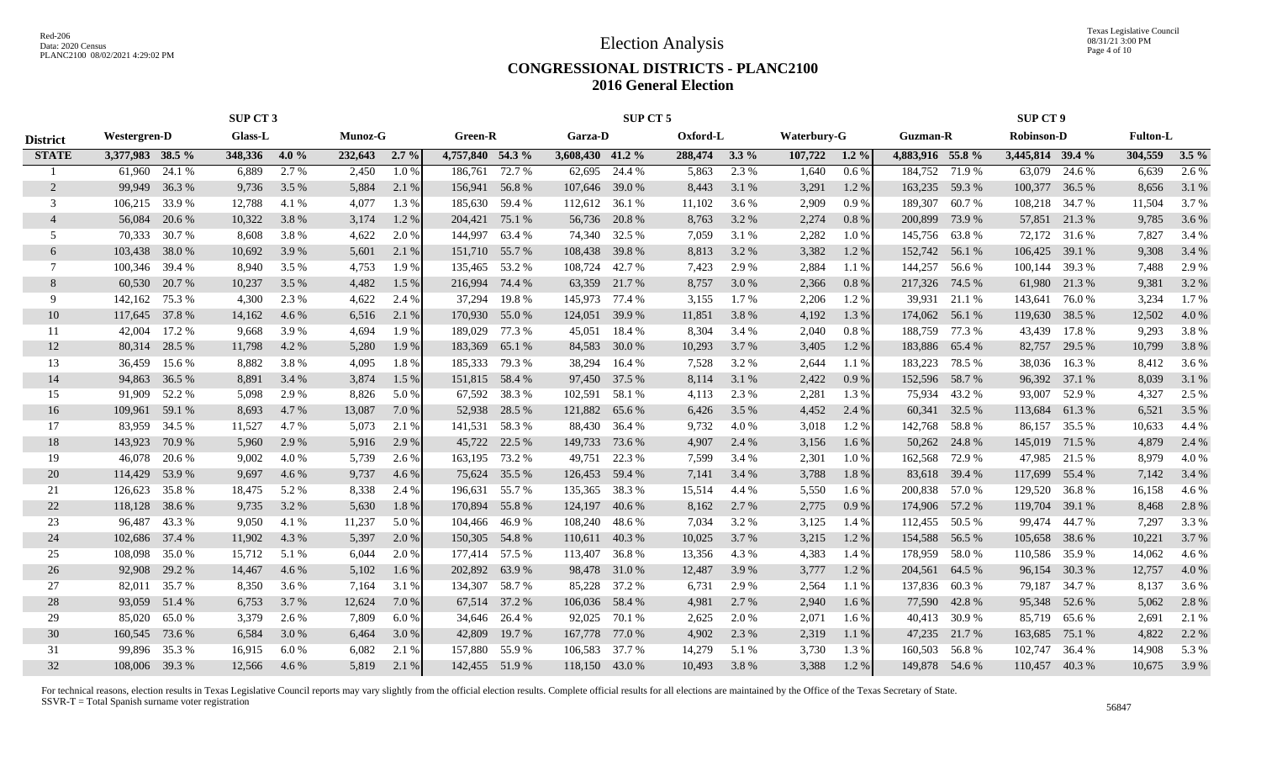Texas Legislative Council 08/31/21 3:00 PM Page 4 of 10

### **CONGRESSIONAL DISTRICTS - PLANC2100 2016 General Election**

|                 |                  |        | <b>SUP CT 3</b> |       |         |         |                  |               |                  | SUP CT 5      |          |         |             |         |                  |        | <b>SUP CT 9</b>   |               |                 |         |
|-----------------|------------------|--------|-----------------|-------|---------|---------|------------------|---------------|------------------|---------------|----------|---------|-------------|---------|------------------|--------|-------------------|---------------|-----------------|---------|
| <b>District</b> | Westergren-D     |        | <b>Glass-L</b>  |       | Munoz-G |         | Green-R          |               | <b>Garza-D</b>   |               | Oxford-L |         | Waterbury-G |         | <b>Guzman-R</b>  |        | <b>Robinson-D</b> |               | <b>Fulton-L</b> |         |
| <b>STATE</b>    | 3,377,983 38.5 % |        | 348,336         | 4.0%  | 232,643 | $2.7\%$ | 4,757,840 54.3 % |               | 3,608,430 41.2 % |               | 288,474  | $3.3\%$ | 107,722     | $1.2\%$ | 4,883,916 55.8 % |        | 3,445,814 39.4 %  |               | 304,559         | $3.5\%$ |
|                 | 61,960           | 24.1 % | 6,889           | 2.7 % | 2,450   | 1.0%    | 186.761          | 72.7 %        | 62,695           | 24.4 %        | 5,863    | 2.3 %   | 1,640       | $0.6\%$ | 184,752          | 71.9 % | 63,079            | 24.6 %        | 6,639           | 2.6 %   |
| $\overline{2}$  | 99,949           | 36.3 % | 9,736           | 3.5 % | 5,884   | 2.1 %   | 156,941 56.8 %   |               | 107,646 39.0 %   |               | 8,443    | 3.1 %   | 3,291       | 1.2%    | 163,235          | 59.3 % | 100,377           | 36.5 %        | 8,656           | 3.1 %   |
| 3               | 106,215          | 33.9 % | 12,788          | 4.1 % | 4,077   | 1.3%    | 185,630          | 59.4 %        | 112,612          | 36.1 %        | 11,102   | 3.6 %   | 2,909       | 0.9%    | 189,307          | 60.7%  | 108,218           | 34.7 %        | 11,504          | 3.7 %   |
| $\overline{4}$  | 56,084           | 20.6 % | 10,322          | 3.8%  | 3,174   | 1.2%    | 204,421          | 75.1 %        | 56,736           | 20.8 %        | 8,763    | 3.2 %   | 2,274       | 0.8%    | 200,899          | 73.9%  | 57,851            | 21.3 %        | 9,785           | 3.6 %   |
| 5               | 70,333           | 30.7%  | 8,608           | 3.8%  | 4,622   | 2.0 %   | 144,997          | 63.4 %        | 74,340           | 32.5 %        | 7,059    | 3.1 %   | 2,282       | 1.0%    | 145,756          | 63.8%  | 72,172            | 31.6 %        | 7,827           | 3.4 %   |
| 6               | 103,438          | 38.0%  | 10,692          | 3.9%  | 5,601   | 2.1 %   | 151,710 55.7 %   |               | 108,438          | 39.8%         | 8,813    | 3.2%    | 3,382       | 1.2%    | 152,742          | 56.1 % | 106,425           | 39.1 %        | 9,308           | 3.4 %   |
| 7               | 100,346          | 39.4 % | 8,940           | 3.5 % | 4,753   | 1.9%    | 135,465          | 53.2 %        | 108,724          | 42.7 %        | 7,423    | 2.9 %   | 2,884       | 1.1 %   | 144,257          | 56.6 % | 100,144           | 39.3 %        | 7,488           | 2.9 %   |
| 8               | 60,530           | 20.7 % | 10,237          | 3.5 % | 4,482   | 1.5 %   | 216,994          | 74.4 %        |                  | 63,359 21.7 % | 8,757    | 3.0 %   | 2,366       | 0.8%    | 217,326          | 74.5 % | 61,980            | 21.3 %        | 9,381           | 3.2 %   |
| 9               | 142,162          | 75.3 % | 4,300           | 2.3 % | 4,622   | 2.4 %   | 37,294           | 19.8%         | 145,973          | 77.4 %        | 3,155    | 1.7 %   | 2,206       | 1.2 %   | 39,931           | 21.1 % | 143,641           | 76.0%         | 3,234           | 1.7 %   |
| 10              | 117,645          | 37.8%  | 14,162          | 4.6 % | 6,516   | 2.1 %   | 170,930          | 55.0 %        | 124,051          | 39.9 %        | 11,851   | 3.8%    | 4,192       | 1.3 %   | 174,062          | 56.1 % | 119,630           | 38.5 %        | 12,502          | 4.0 %   |
| 11              | 42,004           | 17.2 % | 9,668           | 3.9%  | 4,694   | 1.9%    | 189,029          | 77.3 %        | 45,051           | 18.4 %        | 8,304    | 3.4 %   | 2,040       | $0.8\%$ | 188,759          | 77.3 % | 43,439            | 17.8%         | 9,293           | 3.8%    |
| 12              | 80,314           | 28.5 % | 11,798          | 4.2 % | 5,280   | 1.9%    | 183,369          | 65.1 %        | 84,583           | 30.0 %        | 10,293   | 3.7 %   | 3,405       | 1.2 %   | 183,886          | 65.4 % | 82,757            | 29.5 %        | 10,799          | 3.8 %   |
| 13              | 36.459           | 15.6 % | 8,882           | 3.8%  | 4,095   | 1.8%    | 185,333          | 79.3 %        | 38,294           | 16.4 %        | 7,528    | 3.2 %   | 2,644       | $1.1\%$ | 183,223          | 78.5 % | 38,036            | 16.3%         | 8,412           | 3.6 %   |
| 14              | 94,863           | 36.5 % | 8,891           | 3.4 % | 3,874   | 1.5 %   | 151,815 58.4 %   |               |                  | 97,450 37.5 % | 8,114    | 3.1 %   | 2,422       | 0.9%    | 152,596          | 58.7%  |                   | 96,392 37.1 % | 8,039           | 3.1 %   |
| 15              | 91,909           | 52.2 % | 5,098           | 2.9 % | 8,826   | 5.0 %   |                  | 67,592 38.3 % | 102,591          | 58.1 %        | 4,113    | 2.3 %   | 2,281       | 1.3%    | 75,934           | 43.2 % | 93,007            | 52.9%         | 4,327           | 2.5 %   |
| 16              | 109,961 59.1 %   |        | 8,693           | 4.7 % | 13,087  | 7.0 %   |                  | 52,938 28.5 % | 121,882          | 65.6 %        | 6,426    | 3.5 %   | 4,452       | 2.4 %   | 60,341           | 32.5 % | 113,684 61.3 %    |               | 6,521           | 3.5 %   |
| 17              | 83,959           | 34.5 % | 11,527          | 4.7 % | 5,073   | 2.1 %   | 141,531 58.3 %   |               | 88,430           | 36.4 %        | 9,732    | 4.0%    | 3,018       | 1.2 %   | 142,768          | 58.8%  |                   | 86,157 35.5 % | 10,633          | 4.4 %   |
| 18              | 143,923          | 70.9 % | 5,960           | 2.9 % | 5,916   | 2.9 %   | 45,722           | 22.5 %        | 149,733          | 73.6 %        | 4,907    | 2.4 %   | 3,156       | 1.6 %   | 50,262           | 24.8%  | 145,019           | 71.5 %        | 4,879           | 2.4 %   |
| 19              | 46,078           | 20.6 % | 9,002           | 4.0%  | 5,739   | 2.6 %   | 163,195          | 73.2 %        | 49,751           | 22.3 %        | 7,599    | 3.4 %   | 2,301       | 1.0%    | 162,568          | 72.9 % | 47,985            | 21.5 %        | 8,979           | 4.0%    |
| 20              | 114,429          | 53.9%  | 9,697           | 4.6 % | 9,737   | 4.6 %   | 75,624           | 35.5 %        | 126,453          | 59.4 %        | 7,141    | 3.4 %   | 3,788       | 1.8%    | 83,618           | 39.4 % | 117,699           | 55.4 %        | 7,142           | 3.4 %   |
| 21              | 126,623          | 35.8%  | 18,475          | 5.2 % | 8,338   | 2.4 %   | 196,631          | 55.7 %        | 135,365          | 38.3%         | 15,514   | 4.4 %   | 5,550       | 1.6 %   | 200,838          | 57.0 % | 129,520           | 36.8%         | 16,158          | 4.6 %   |
| 22              | 118,128          | 38.6%  | 9,735           | 3.2 % | 5,630   | 1.8%    | 170,894          | 55.8%         | 124,197          | 40.6 %        | 8,162    | 2.7 %   | 2,775       | 0.9%    | 174,906          | 57.2 % | 119,704           | 39.1 %        | 8,468           | 2.8 %   |
| 23              | 96,487           | 43.3 % | 9,050           | 4.1 % | 11,237  | 5.0 %   | 104,466          | 46.9%         | 108,240          | 48.6%         | 7,034    | 3.2 %   | 3,125       | 1.4 %   | 112,455          | 50.5 % | 99,474            | 44.7%         | 7,297           | 3.3 %   |
| 24              | 102,686          | 37.4 % | 11,902          | 4.3 % | 5,397   | 2.0 %   | 150,305 54.8 %   |               | 110,611          | 40.3%         | 10,025   | 3.7%    | 3,215       | 1.2%    | 154,588          | 56.5 % | 105,658           | 38.6 %        | 10,221          | 3.7 %   |
| 25              | 108,098          | 35.0 % | 15,712          | 5.1 % | 6,044   | 2.0 %   | 177,414 57.5 %   |               | 113,407          | 36.8%         | 13,356   | 4.3 %   | 4,383       | 1.4 %   | 178,959          | 58.0%  | 110,586           | 35.9%         | 14,062          | 4.6 %   |
| 26              | 92,908           | 29.2 % | 14,467          | 4.6 % | 5,102   | 1.6 %   | 202,892          | 63.9%         |                  | 98,478 31.0 % | 12,487   | 3.9 %   | 3,777       | 1.2%    | 204,561          | 64.5 % | 96,154            | 30.3 %        | 12,757          | 4.0 %   |
| 27              | 82,011           | 35.7 % | 8,350           | 3.6 % | 7,164   | 3.1 %   | 134,307          | 58.7 %        | 85,228           | 37.2 %        | 6,731    | 2.9 %   | 2,564       | $1.1\%$ | 137,836          | 60.3%  | 79,187            | 34.7 %        | 8,137           | 3.6 %   |
| 28              | 93,059           | 51.4 % | 6,753           | 3.7 % | 12,624  | 7.0 %   | 67,514           | 37.2 %        | 106,036 58.4 %   |               | 4,981    | 2.7 %   | 2,940       | $1.6\%$ | 77,590           | 42.8%  | 95,348            | 52.6 %        | 5,062           | 2.8 %   |
| 29              | 85,020           | 65.0%  | 3,379           | 2.6 % | 7,809   | 6.0%    | 34,646 26.4 %    |               | 92,025           | 70.1 %        | 2,625    | 2.0 %   | 2,071       | 1.6 %   | 40,413           | 30.9%  | 85,719            | 65.6 %        | 2,691           | 2.1 %   |
| 30              | 160,545          | 73.6 % | 6,584           | 3.0 % | 6,464   | 3.0 %   | 42,809           | 19.7 %        | 167,778          | 77.0 %        | 4,902    | 2.3 %   | 2,319       | $1.1\%$ | 47,235           | 21.7 % | 163,685           | 75.1 %        | 4,822           | 2.2 %   |
| 31              | 99,896           | 35.3 % | 16,915          | 6.0%  | 6,082   | 2.1 %   | 157,880          | 55.9%         | 106,583          | 37.7 %        | 14,279   | 5.1 %   | 3,730       | 1.3%    | 160,503          | 56.8%  | 102,747           | 36.4 %        | 14,908          | 5.3 %   |
| 32              | 108,006 39.3 %   |        | 12,566          | 4.6 % | 5,819   | 2.1 %   | 142,455 51.9 %   |               | 118,150 43.0 %   |               | 10,493   | 3.8%    | 3,388       | 1.2%    | 149,878 54.6 %   |        | 110,457 40.3 %    |               | 10.675          | 3.9 %   |
|                 |                  |        |                 |       |         |         |                  |               |                  |               |          |         |             |         |                  |        |                   |               |                 |         |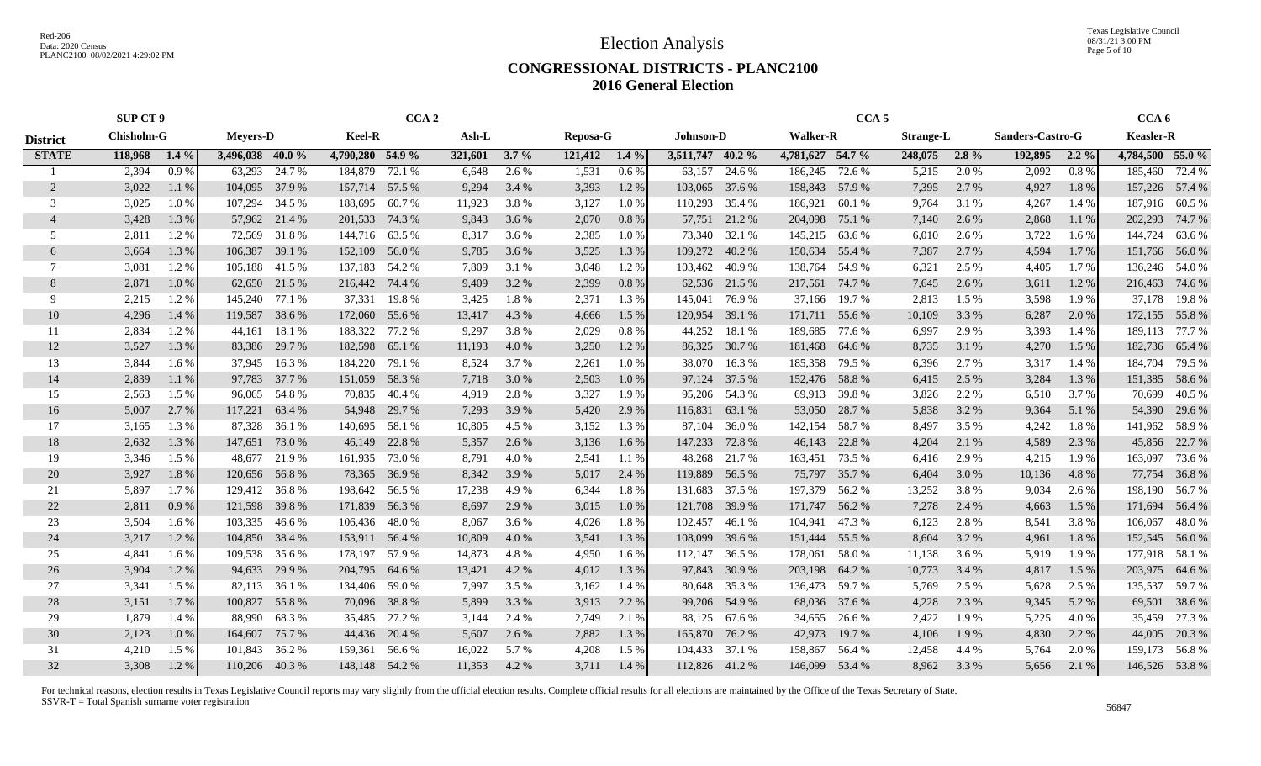Texas Legislative Council 08/31/21 3:00 PM Page 5 of 10

### **CONGRESSIONAL DISTRICTS - PLANC2100 2016 General Election**

|                 | <b>SUP CT 9</b>   |         |                  |               |                  | CCA <sub>2</sub> |         |         |          |         |                  |               |                  | CCA <sub>5</sub> |                  |         |                  |         | CCA <sub>6</sub> |                |
|-----------------|-------------------|---------|------------------|---------------|------------------|------------------|---------|---------|----------|---------|------------------|---------------|------------------|------------------|------------------|---------|------------------|---------|------------------|----------------|
| <b>District</b> | <b>Chisholm-G</b> |         | <b>Meyers-D</b>  |               | <b>Keel-R</b>    |                  | Ash-L   |         | Reposa-G |         | <b>Johnson-D</b> |               | <b>Walker-R</b>  |                  | <b>Strange-L</b> |         | Sanders-Castro-G |         | <b>Keasler-R</b> |                |
| <b>STATE</b>    | 118,968           | $1.4\%$ | 3,496,038 40.0 % |               | 4,790,280 54.9 % |                  | 321,601 | $3.7\%$ | 121,412  | $1.4\%$ | 3,511,747 40.2 % |               | 4,781,627 54.7 % |                  | 248,075          | $2.8\%$ | 192,895          | $2.2\%$ | 4,784,500 55.0 % |                |
|                 | 2,394             | 0.9%    | 63,293           | 24.7 %        | 184,879          | 72.1 %           | 6,648   | 2.6 %   | 1,531    | 0.6%    | 63,157           | 24.6 %        | 186,245          | 72.6 %           | 5,215            | 2.0 %   | 2,092            | 0.8%    | 185,460          | 72.4 %         |
| 2               | 3,022             | 1.1 %   | 104,095          | 37.9 %        | 157,714          | 57.5 %           | 9,294   | 3.4 %   | 3,393    | 1.2%    | 103,065          | 37.6 %        | 158,843          | 57.9 %           | 7,395            | 2.7 %   | 4,927            | 1.8%    |                  | 157,226 57.4 % |
| 3               | 3,025             | 1.0%    | 107,294          | 34.5 %        | 188,695          | 60.7%            | 11,923  | 3.8%    | 3,127    | 1.0%    | 110,293          | 35.4 %        | 186,921          | 60.1%            | 9,764            | 3.1 %   | 4,267            | 1.4 %   |                  | 187,916 60.5 % |
| $\overline{4}$  | 3,428             | 1.3%    | 57,962           | 21.4 %        | 201,533          | 74.3 %           | 9,843   | 3.6 %   | 2,070    | 0.8%    | 57,751           | 21.2%         | 204,098          | 75.1 %           | 7,140            | 2.6 %   | 2,868            | 1.1 %   | 202,293          | 74.7 %         |
| 5               | 2,811             | 1.2%    | 72,569           | 31.8%         | 144,716          | 63.5 %           | 8,317   | 3.6 %   | 2,385    | 1.0%    | 73,340           | 32.1 %        | 145,215          | 63.6 %           | 6,010            | 2.6 %   | 3,722            | 1.6 %   | 144,724          | 63.6%          |
| 6               | 3,664             | 1.3%    | 106,387          | 39.1 %        | 152,109          | 56.0%            | 9,785   | 3.6 %   | 3,525    | 1.3%    | 109,272          | 40.2%         | 150,634          | 55.4 %           | 7,387            | 2.7 %   | 4,594            | 1.7%    | 151,766          | 56.0 %         |
| 7               | 3,081             | 1.2%    | 105,188          | 41.5 %        | 137,183          | 54.2 %           | 7,809   | 3.1 %   | 3,048    | 1.2%    | 103,462          | 40.9 %        | 138,764          | 54.9 %           | 6,321            | 2.5 %   | 4,405            | 1.7 %   |                  | 136,246 54.0 % |
| 8               | 2,871             | 1.0%    |                  | 62,650 21.5 % | 216,442 74.4 %   |                  | 9,409   | 3.2 %   | 2,399    | 0.8 %   |                  | 62,536 21.5 % | 217,561          | 74.7 %           | 7,645            | 2.6 %   | 3,611            | 1.2%    | 216,463          | 74.6 %         |
| 9               | 2,215             | 1.2%    | 145,240          | 77.1 %        | 37,331           | 19.8%            | 3,425   | 1.8%    | 2,371    | 1.3 %   | 145,041          | 76.9%         | 37,166           | 19.7 %           | 2,813            | 1.5 %   | 3,598            | 1.9%    | 37,178           | 19.8%          |
| 10              | 4,296             | 1.4 %   | 119,587          | 38.6%         | 172,060          | 55.6 %           | 13,417  | 4.3 %   | 4,666    | 1.5 %   | 120,954          | 39.1 %        | 171,711          | 55.6 %           | 10,109           | 3.3 %   | 6,287            | 2.0 %   | 172,155          | 55.8%          |
| 11              | 2,834             | 1.2%    | 44,161           | 18.1 %        | 188,322          | 77.2 %           | 9,297   | 3.8%    | 2,029    | 0.8%    | 44,252           | 18.1 %        | 189,685          | 77.6 %           | 6,997            | 2.9 %   | 3,393            | 1.4 %   | 189,113          | 77.7 %         |
| 12              | 3,527             | 1.3%    | 83,386           | 29.7 %        | 182,598          | 65.1 %           | 11,193  | 4.0%    | 3,250    | 1.2%    | 86,325           | 30.7 %        | 181,468          | 64.6 %           | 8,735            | 3.1 %   | 4,270            | 1.5 %   | 182,736          | 65.4 %         |
| 13              | 3,844             | 1.6 %   | 37,945           | 16.3%         | 184,220          | 79.1 %           | 8,524   | 3.7 %   | 2,261    | 1.0%    | 38,070           | 16.3 %        | 185,358          | 79.5 %           | 6,396            | 2.7 %   | 3,317            | 1.4 %   | 184,704          | 79.5 %         |
| 14              | 2,839             | 1.1%    | 97,783           | 37.7 %        | 151,059          | 58.3%            | 7,718   | 3.0 %   | 2,503    | 1.0%    | 97,124 37.5 %    |               | 152,476          | 58.8%            | 6,415            | 2.5 %   | 3,284            | 1.3%    | 151,385          | 58.6 %         |
| 15              | 2,563             | 1.5 %   | 96,065           | 54.8%         | 70,835           | 40.4 %           | 4,919   | 2.8 %   | 3,327    | 1.9%    |                  | 95,206 54.3 % | 69,913           | 39.8%            | 3,826            | 2.2 %   | 6,510            | 3.7%    | 70,699           | 40.5 %         |
| 16              | 5,007             | 2.7 %   | 117,221          | 63.4 %        | 54,948           | 29.7 %           | 7,293   | 3.9 %   | 5,420    | 2.9 %   | 116,831          | 63.1 %        | 53,050           | 28.7 %           | 5,838            | 3.2 %   | 9,364            | 5.1 %   | 54,390           | 29.6 %         |
| 17              | 3,165             | 1.3 %   | 87,328           | 36.1 %        | 140,695          | 58.1 %           | 10,805  | 4.5 %   | 3,152    | 1.3 %   | 87,104           | 36.0%         | 142,154 58.7 %   |                  | 8,497            | 3.5 %   | 4,242            | 1.8%    | 141,962          | 58.9 %         |
| 18              | 2,632             | 1.3%    | 147,651          | 73.0 %        | 46,149           | 22.8%            | 5,357   | 2.6 %   | 3,136    | $1.6\%$ | 147,233          | 72.8 %        | 46,143           | 22.8%            | 4,204            | 2.1 %   | 4,589            | 2.3 %   | 45,856           | 22.7 %         |
| 19              | 3,346             | 1.5 %   | 48,677           | 21.9%         | 161,935          | 73.0 %           | 8,791   | 4.0%    | 2,541    | 1.1 %   | 48,268           | 21.7 %        | 163,451          | 73.5 %           | 6,416            | 2.9 %   | 4,215            | 1.9%    | 163,097          | 73.6 %         |
| 20              | 3,927             | 1.8%    | 120,656          | 56.8%         | 78,365           | 36.9%            | 8,342   | 3.9%    | 5,017    | 2.4 %   | 119,889          | 56.5 %        | 75,797           | 35.7 %           | 6,404            | 3.0 %   | 10,136           | 4.8%    | 77,754           | 36.8 %         |
| 21              | 5,897             | 1.7 %   | 129,412 36.8 %   |               | 198,642          | 56.5 %           | 17,238  | 4.9%    | 6,344    | 1.8%    | 131,683          | 37.5 %        | 197,379          | 56.2 %           | 13,252           | 3.8%    | 9,034            | 2.6 %   | 198,190          | 56.7%          |
| 22              | 2,811             | 0.9%    | 121,598          | 39.8%         | 171,839          | 56.3%            | 8,697   | 2.9 %   | 3,015    | 1.0%    | 121,708          | 39.9 %        | 171,747          | 56.2%            | 7,278            | 2.4 %   | 4,663            | 1.5 %   | 171,694          | 56.4 %         |
| 23              | 3,504             | 1.6 %   | 103,335          | 46.6 %        | 106,436          | 48.0%            | 8,067   | 3.6 %   | 4,026    | 1.8%    | 102,457          | 46.1%         | 104,941          | 47.3%            | 6,123            | 2.8%    | 8,541            | 3.8%    | 106,067          | 48.0%          |
| 24              | 3,217             | 1.2%    | 104,850 38.4 %   |               | 153,911          | 56.4 %           | 10,809  | 4.0 %   | 3,541    | 1.3 %   | 108,099          | 39.6 %        | 151,444          | 55.5 %           | 8,604            | 3.2 %   | 4,961            | 1.8%    | 152,545          | 56.0 %         |
| 25              | 4,841             | 1.6 %   | 109,538          | 35.6 %        | 178,197          | 57.9 %           | 14,873  | 4.8%    | 4,950    | 1.6 %   | 112,147          | 36.5 %        | 178,061          | 58.0%            | 11,138           | 3.6 %   | 5,919            | 1.9%    |                  | 177,918 58.1 % |
| 26              | 3,904             | 1.2%    | 94,633           | 29.9 %        | 204,795          | 64.6 %           | 13,421  | 4.2 %   | 4,012    | 1.3 %   | 97,843           | 30.9 %        | 203,198          | 64.2 %           | 10,773           | 3.4 %   | 4,817            | 1.5 %   | 203,975          | 64.6 %         |
| 27              | 3,341             | 1.5 %   | 82,113           | 36.1 %        | 134,406          | 59.0%            | 7,997   | 3.5 %   | 3,162    | 1.4 %   | 80,648           | 35.3 %        | 136,473          | 59.7 %           | 5,769            | 2.5 %   | 5,628            | 2.5 %   | 135,537          | 59.7 %         |
| 28              | 3,151             | 1.7 %   | 100,827          | 55.8%         | 70,096           | 38.8%            | 5,899   | 3.3 %   | 3,913    | 2.2 %   | 99,206           | 54.9 %        | 68,036           | 37.6 %           | 4,228            | 2.3 %   | 9,345            | 5.2 %   | 69,501           | 38.6 %         |
| 29              | 1,879             | 1.4 %   | 88,990           | 68.3%         | 35,485           | 27.2 %           | 3,144   | 2.4 %   | 2,749    | 2.1 %   | 88,125           | 67.6 %        | 34,655           | 26.6 %           | 2,422            | 1.9%    | 5,225            | 4.0%    | 35,459           | 27.3 %         |
| 30              | 2,123             | 1.0%    | 164,607          | 75.7 %        | 44,436           | 20.4 %           | 5,607   | 2.6 %   | 2,882    | 1.3 %   | 165,870          | 76.2 %        | 42,973           | 19.7%            | 4,106            | 1.9%    | 4,830            | 2.2 %   | 44,005           | 20.3 %         |
| 31              | 4,210             | 1.5 %   | 101,843          | 36.2 %        | 159,361          | 56.6%            | 16,022  | 5.7 %   | 4,208    | 1.5 %   | 104,433          | 37.1 %        | 158,867          | 56.4 %           | 12,458           | 4.4 %   | 5,764            | 2.0%    | 159,173          | 56.8%          |
| 32              | 3,308             | 1.2%    | 110,206 40.3 %   |               | 148,148 54.2 %   |                  | 11,353  | 4.2 %   | 3,711    | 1.4 %   | 112,826 41.2 %   |               | 146,099 53.4 %   |                  | 8,962            | 3.3 %   | 5,656            | 2.1 %   |                  | 146,526 53.8 % |
|                 |                   |         |                  |               |                  |                  |         |         |          |         |                  |               |                  |                  |                  |         |                  |         |                  |                |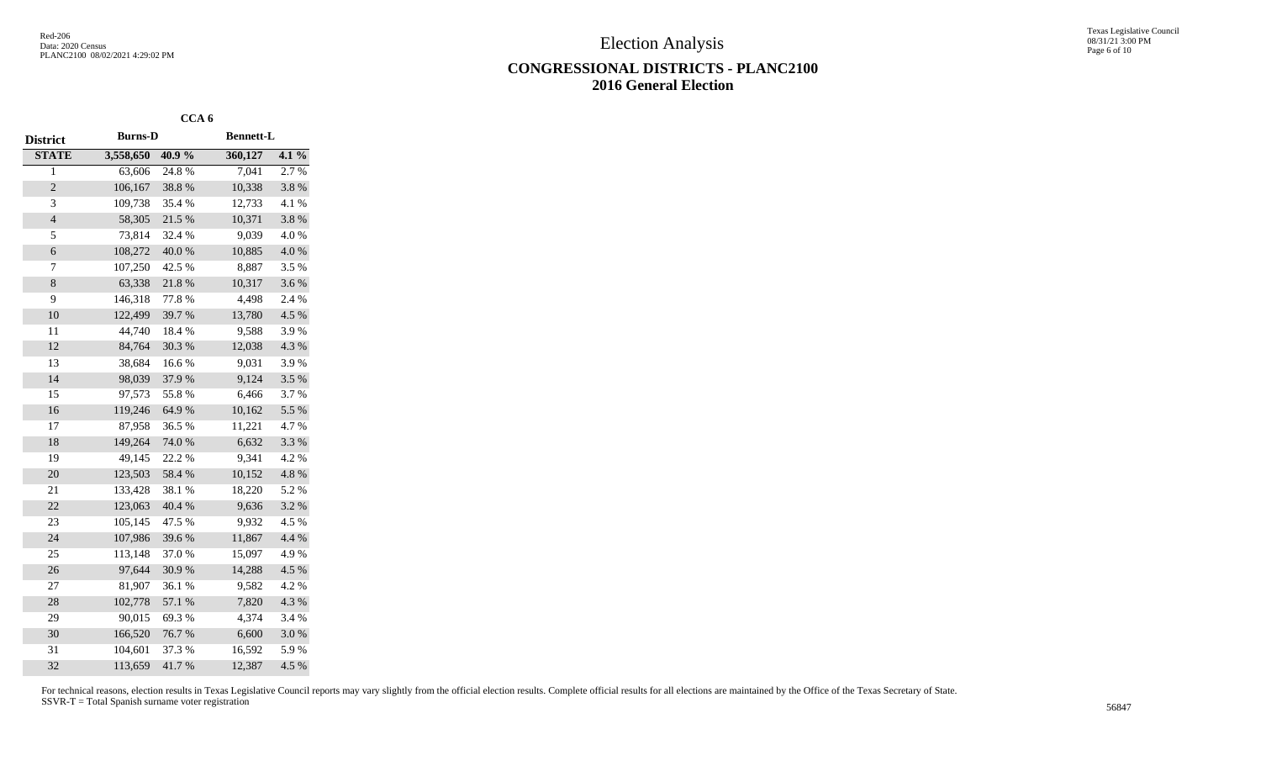Texas Legislative Council 08/31/21 3:00 PM Page 6 of 10

## **CONGRESSIONAL DISTRICTS - PLANC2100 2016 General Election**

|                 |                | CCA <sub>6</sub> |                  |         |
|-----------------|----------------|------------------|------------------|---------|
| <b>District</b> | <b>Burns-D</b> |                  | <b>Bennett-L</b> |         |
| <b>STATE</b>    | 3,558,650      | 40.9%            | 360,127          | $4.1\%$ |
| $\overline{1}$  | 63,606         | 24.8%            | 7,041            | 2.7 %   |
| $\overline{c}$  | 106,167        | 38.8%            | 10,338           | 3.8%    |
| 3               | 109,738        | 35.4%            | 12,733           | 4.1 %   |
| $\overline{4}$  | 58,305         | 21.5 %           | 10,371           | 3.8%    |
| 5               | 73,814         | 32.4 %           | 9,039            | 4.0%    |
| 6               | 108,272        | 40.0%            | 10,885           | 4.0%    |
| 7               | 107,250        | 42.5 %           | 8,887            | 3.5%    |
| 8               | 63,338         | 21.8%            | 10,317           | 3.6%    |
| 9               | 146,318        | 77.8%            | 4,498            | 2.4 %   |
| 10              | 122,499        | 39.7%            | 13,780           | 4.5 %   |
| 11              | 44,740         | 18.4%            | 9,588            | 3.9%    |
| 12              | 84,764         | 30.3 %           | 12,038           | 4.3 %   |
| 13              | 38,684         | $16.6\;\%$       | 9,031            | 3.9%    |
| 14              | 98,039         | 37.9%            | 9,124            | 3.5%    |
| 15              | 97,573         | 55.8%            | 6,466            | 3.7%    |
| 16              | 119,246        | 64.9%            | 10,162           | 5.5 %   |
| 17              | 87,958         | 36.5 %           | 11,221           | 4.7%    |
| 18              | 149,264        | 74.0%            | 6,632            | 3.3 %   |
| 19              | 49,145         | 22.2 %           | 9,341            | 4.2 %   |
| 20              | 123,503        | 58.4 %           | 10,152           | 4.8 %   |
| 21              | 133,428        | 38.1%            | 18,220           | 5.2 %   |
| 22              | 123,063        | 40.4 %           | 9,636            | 3.2 %   |
| 23              | 105,145        | 47.5 %           | 9,932            | 4.5 %   |
| 24              | 107,986        | 39.6%            | 11,867           | 4.4 %   |
| 25              | 113,148        | 37.0%            | 15,097           | 4.9%    |
| 26              | 97,644         | 30.9%            | 14,288           | 4.5 %   |
| 27              | 81,907         | 36.1 %           | 9,582            | 4.2 %   |
| 28              | 102,778        | 57.1 %           | 7,820            | 4.3 %   |
| 29              | 90,015         | 69.3%            | 4,374            | 3.4 %   |
| 30              | 166,520        | 76.7%            | 6,600            | 3.0%    |
| 31              | 104,601        | 37.3 %           | 16,592           | 5.9%    |
| 32              | 113,659        | 41.7%            | 12,387           | 4.5 %   |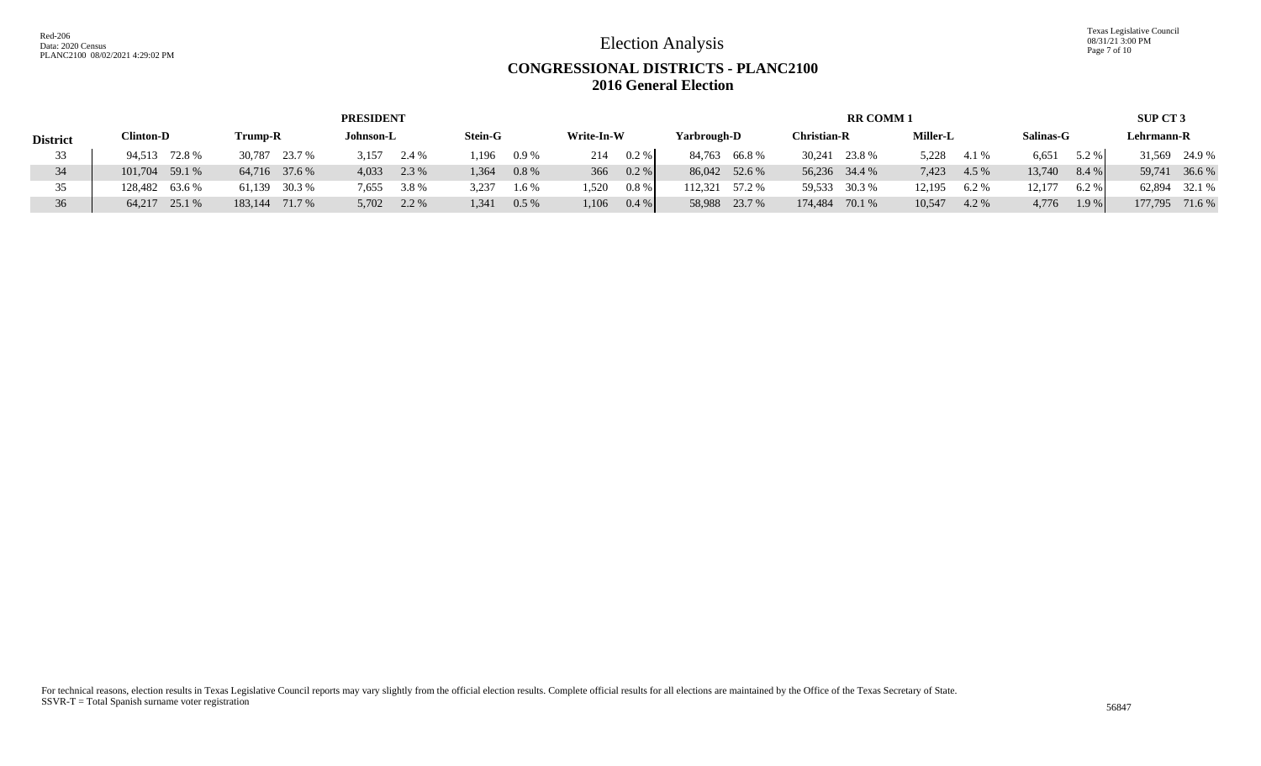Texas Legislative Council 08/31/21 3:00 PM Page 7 of 10

# **CONGRESSIONAL DISTRICTS - PLANC2100 2016 General Election**

|                 |                  |                  | <b>PRESIDENT</b> |                  |                |                   | <b>RR COMM1</b>    |                 |                 | <b>SUP CT 3</b>   |
|-----------------|------------------|------------------|------------------|------------------|----------------|-------------------|--------------------|-----------------|-----------------|-------------------|
| <b>District</b> | <b>Clinton-D</b> | Trump-R          | Johnson-L        | <b>Stein-G</b>   | Write-In-W     | Yarbrough-D       | <b>Christian-R</b> | <b>Miller-L</b> | Salinas-G       | Lehrmann-R        |
| 33              | 94,513 72.8 %    | 30,787 23.7 %    | 3,157<br>2.4 %   | .196<br>0.9%     | 0.2 %<br>214   | 84,763 66.8%      | 30,241 23.8 %      | 5.228<br>4.1 %  | 6,651<br>5.2 %  | 31,569 24.9 %     |
| 34              | 101,704 59.1 %   | 64,716 37.6 %    | 4,033<br>2.3 %   | $0.8\%$<br>1.364 | 0.2 %<br>366   | 86,042 52.6 %     | 56,236 34.4 %      | 7,423<br>4.5 %  | 13,740<br>8.4 % | 36.6 %<br>59.741  |
|                 | 128,482 63.6 %   | 30.3 %<br>61.139 | 3.8%<br>7,655    | 3,237<br>1.6 %   | 0.8 %<br>1,520 | 112.321<br>57.2 % | 59,533 30.3 %      | 12,195<br>6.2%  | 12,177<br>6.2%  | 32.1 %<br>62.894  |
| 36              | 64,217 25.1 %    | 183.144 71.7 %   | 2.2 %<br>5,702   | 1,341<br>0.5%    | 1,106<br>0.4 % | 58,988 23.7 %     | 174,484<br>70.1 %  | 10,547<br>4.2 % | 4,776<br>1.9%   | 177,795<br>71.6 % |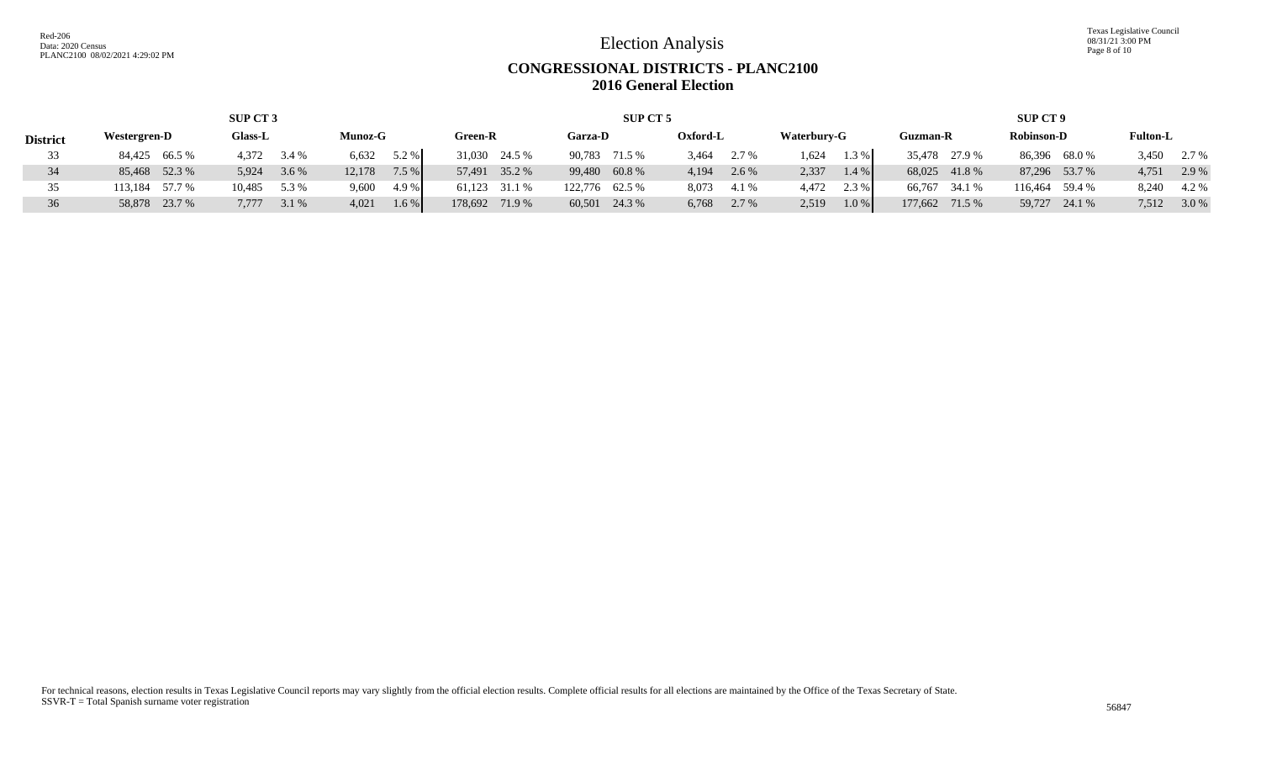Texas Legislative Council 08/31/21 3:00 PM Page 8 of 10

## **CONGRESSIONAL DISTRICTS - PLANC2100 2016 General Election**

| SUP CT 3        |                |                  |                |                   | SUP CT 5       |                |                  | <b>SUP CT 9</b>   |                   |                 |  |  |
|-----------------|----------------|------------------|----------------|-------------------|----------------|----------------|------------------|-------------------|-------------------|-----------------|--|--|
| <b>District</b> | Westergren-D   | <b>Glass-L</b>   | <b>Munoz-G</b> | Green-R           | Garza-D        | Oxford-L       | Waterbury-G      | Guzman-R          | <b>Robinson-D</b> | <b>Fulton-L</b> |  |  |
| 33              | 84,425 66.5 %  | 4.372<br>3.4 %   | 5.2 %<br>6,632 | 31,030 24.5 %     | 90,783 71.5 %  | 3,464<br>2.7 % | .624<br>$1.3\%$  | 35,478 27.9 %     | 86,396 68.0 %     | 3,450<br>2.7 %  |  |  |
| 34              | 85,468 52.3 %  | 5,924<br>$3.6\%$ | 12,178<br>7.5% | 35.2 %<br>57.491  | 99,480 60.8 %  | 4,194<br>2.6 % | 2,337<br>$1.4\%$ | 68,025 41.8 %     | 87,296 53.7 %     | 4,751<br>2.9 %  |  |  |
| 35              | 113,184 57.7 % | 10,485<br>5.3 %  | 9,600<br>4.9 % | 61,123 31.1 %     | 122,776 62.5 % | 8,073<br>4.1 % | 4.472<br>2.3 %   | 66,767 34.1 %     | 116,464 59.4 %    | 8.240<br>4.2 %  |  |  |
| 36              | 58,878 23.7 %  | 7.777<br>3.1 %   | 4,021<br>1.6 % | 178,692<br>71.9 % | 60,501 24.3 %  | 6,768<br>2.7 % | 2,519<br>1.0%    | 177.662<br>71.5 % | 59,727 24.1 %     | 7,512<br>3.0 %  |  |  |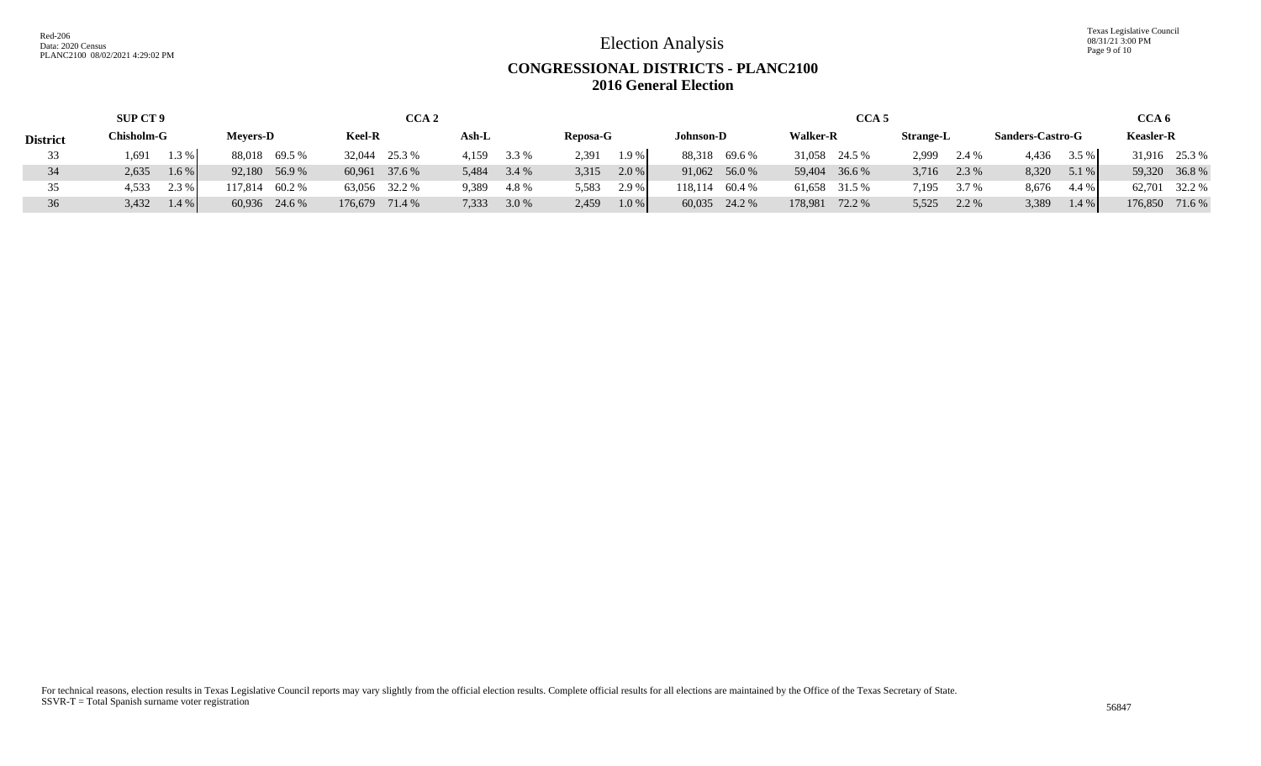Texas Legislative Council 08/31/21 3:00 PM Page 9 of 10

# **CONGRESSIONAL DISTRICTS - PLANC2100 2016 General Election**

|                 | <b>SUP CT 9</b>  |                 | CCA <sub>2</sub> |                 |                  |                  |                 | CCA 6            |                         |                  |
|-----------------|------------------|-----------------|------------------|-----------------|------------------|------------------|-----------------|------------------|-------------------------|------------------|
| <b>District</b> | Chisholm-G       | <b>Mevers-D</b> | <b>Keel-R</b>    | Ash-L           | Reposa-G         | <b>Johnson-D</b> | <b>Walker-R</b> | <b>Strange-L</b> | <b>Sanders-Castro-G</b> | <b>Keasler-R</b> |
| 33              | 1.3%<br>1,691    | 88,018 69.5 %   | 32,044 25.3 %    | $4,159$ $3.3\%$ | $1.9\%$<br>2.391 | 88,318 69.6 %    | 31,058 24.5 %   | 2.999<br>2.4 %   | 4,436<br>3.5 %          | 31,916 25.3 %    |
| 34              | $1.6\%$<br>2,635 | 92,180 56.9 %   | 60,961 37.6 %    | 5,484<br>3.4 %  | $2.0\%$<br>3,315 | 91,062 56.0 %    | 59,404 36.6 %   | 2.3 %<br>3,716   | 8,320<br>5.1 %          | 59,320 36.8 %    |
| 35              | 2.3 %<br>4,533   | 117,814 60.2 %  | 63,056 32.2 %    | 4.8%<br>9,389   | 2.9 %<br>5,583   | 118,114 60.4 %   | 61,658 31.5 %   | 3.7 %<br>7,195   | 8,676<br>4.4 %          | 62,701 32.2 %    |
| 36              | 3,432<br>$1.4\%$ | 60,936 24.6 %   | 176,679 71.4 %   | 7,333<br>3.0 %  | 2,459<br>$1.0\%$ | 60,035 24.2 %    | 178,981 72.2 %  | 5,525<br>2.2 %   | 3,389<br>1.4 %          | 176,850 71.6 %   |